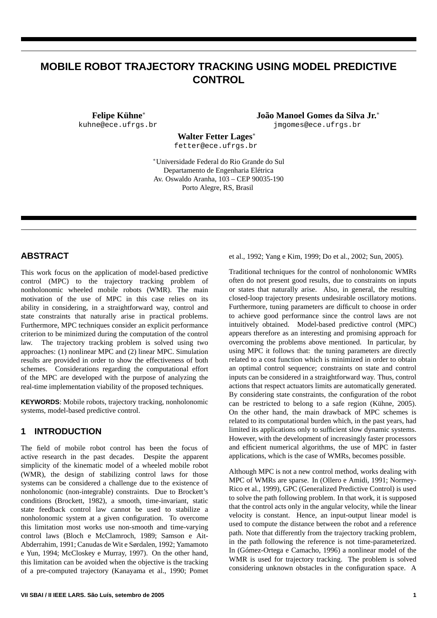# **MOBILE ROBOT TRAJECTORY TRACKING USING MODEL PREDICTIVE CONTROL**

**Felipe Kühne**<sup>∗</sup> kuhne@ece.ufrgs.br **João Manoel Gomes da Silva Jr.**<sup>∗</sup> jmgomes@ece.ufrgs.br

**Walter Fetter Lages**<sup>∗</sup>

fetter@ece.ufrgs.br

<sup>∗</sup>Universidade Federal do Rio Grande do Sul Departamento de Engenharia Elétrica Av. Oswaldo Aranha, 103 – CEP 90035-190 Porto Alegre, RS, Brasil

# **ABSTRACT**

This work focus on the application of model-based predictive control (MPC) to the trajectory tracking problem of nonholonomic wheeled mobile robots (WMR). The main motivation of the use of MPC in this case relies on its ability in considering, in a straightforward way, control and state constraints that naturally arise in practical problems. Furthermore, MPC techniques consider an explicit performance criterion to be minimized during the computation of the control law. The trajectory tracking problem is solved using two approaches: (1) nonlinear MPC and (2) linear MPC. Simulation results are provided in order to show the effectiveness of both schemes. Considerations regarding the computational effort of the MPC are developed with the purpose of analyzing the real-time implementation viability of the proposed techniques.

**KEYWORDS**: Mobile robots, trajectory tracking, nonholonomic systems, model-based predictive control.

## **1 INTRODUCTION**

The field of mobile robot control has been the focus of active research in the past decades. Despite the apparent simplicity of the kinematic model of a wheeled mobile robot (WMR), the design of stabilizing control laws for those systems can be considered a challenge due to the existence of nonholonomic (non-integrable) constraints. Due to Brockett's conditions (Brockett, 1982), a smooth, time-invariant, static state feedback control law cannot be used to stabilize a nonholonomic system at a given configuration. To overcome this limitation most works use non-smooth and time-varying control laws (Bloch e McClamroch, 1989; Samson e Ait-Abderrahim, 1991; Canudas de Wit e Sørdalen, 1992; Yamamoto e Yun, 1994; McCloskey e Murray, 1997). On the other hand, this limitation can be avoided when the objective is the tracking of a pre-computed trajectory (Kanayama et al., 1990; Pomet

et al., 1992; Yang e Kim, 1999; Do et al., 2002; Sun, 2005).

Traditional techniques for the control of nonholonomic WMRs often do not present good results, due to constraints on inputs or states that naturally arise. Also, in general, the resulting closed-loop trajectory presents undesirable oscillatory motions. Furthermore, tuning parameters are difficult to choose in order to achieve good performance since the control laws are not intuitively obtained. Model-based predictive control (MPC) appears therefore as an interesting and promising approach for overcoming the problems above mentioned. In particular, by using MPC it follows that: the tuning parameters are directly related to a cost function which is minimized in order to obtain an optimal control sequence; constraints on state and control inputs can be considered in a straightforward way. Thus, control actions that respect actuators limits are automatically generated. By considering state constraints, the configuration of the robot can be restricted to belong to a safe region (Kühne, 2005). On the other hand, the main drawback of MPC schemes is related to its computational burden which, in the past years, had limited its applications only to sufficient slow dynamic systems. However, with the development of increasingly faster processors and efficient numerical algorithms, the use of MPC in faster applications, which is the case of WMRs, becomes possible.

Although MPC is not a new control method, works dealing with MPC of WMRs are sparse. In (Ollero e Amidi, 1991; Normey-Rico et al., 1999), GPC (Generalized Predictive Control) is used to solve the path following problem. In that work, it is supposed that the control acts only in the angular velocity, while the linear velocity is constant. Hence, an input-output linear model is used to compute the distance between the robot and a reference path. Note that differently from the trajectory tracking problem, in the path following the reference is not time-parameterized. In (Gómez-Ortega e Camacho, 1996) a nonlinear model of the WMR is used for trajectory tracking. The problem is solved considering unknown obstacles in the configuration space. A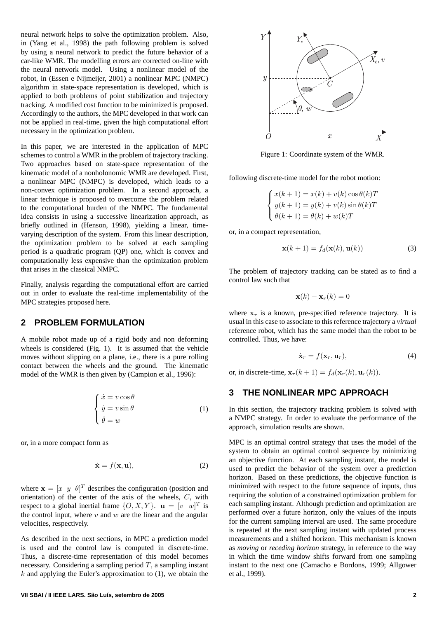neural network helps to solve the optimization problem. Also, in (Yang et al., 1998) the path following problem is solved by using a neural network to predict the future behavior of a car-like WMR. The modelling errors are corrected on-line with the neural network model. Using a nonlinear model of the robot, in (Essen e Nijmeijer, 2001) a nonlinear MPC (NMPC) algorithm in state-space representation is developed, which is applied to both problems of point stabilization and trajectory tracking. A modified cost function to be minimized is proposed. Accordingly to the authors, the MPC developed in that work can not be applied in real-time, given the high computational effort necessary in the optimization problem.

In this paper, we are interested in the application of MPC schemes to control a WMR in the problem of trajectory tracking. Two approaches based on state-space representation of the kinematic model of a nonholonomic WMR are developed. First, a nonlinear MPC (NMPC) is developed, which leads to a non-convex optimization problem. In a second approach, a linear technique is proposed to overcome the problem related to the computational burden of the NMPC. The fundamental idea consists in using a successive linearization approach, as briefly outlined in (Henson, 1998), yielding a linear, timevarying description of the system. From this linear description, the optimization problem to be solved at each sampling period is a quadratic program (QP) one, which is convex and computationally less expensive than the optimization problem that arises in the classical NMPC.

Finally, analysis regarding the computational effort are carried out in order to evaluate the real-time implementability of the MPC strategies proposed here.

#### **2 PROBLEM FORMULATION**

A mobile robot made up of a rigid body and non deforming wheels is considered (Fig. 1). It is assumed that the vehicle moves without slipping on a plane, i.e., there is a pure rolling contact between the wheels and the ground. The kinematic model of the WMR is then given by (Campion et al., 1996):

$$
\begin{cases}\n\dot{x} = v \cos \theta \\
\dot{y} = v \sin \theta \\
\dot{\theta} = w\n\end{cases}
$$
\n(1)

or, in a more compact form as

$$
\dot{\mathbf{x}} = f(\mathbf{x}, \mathbf{u}),\tag{2}
$$

where  $\mathbf{x} = [x \ y \ \theta]^T$  describes the configuration (position and orientation) of the center of the axis of the wheels, C, with respect to a global inertial frame  $\{O, X, Y\}$ .  $\mathbf{u} = \begin{bmatrix} v & w \end{bmatrix}^T$  is the control input, where  $v$  and  $w$  are the linear and the angular velocities, respectively.

As described in the next sections, in MPC a prediction model is used and the control law is computed in discrete-time. Thus, a discrete-time representation of this model becomes necessary. Considering a sampling period  $T$ , a sampling instant  $k$  and applying the Euler's approximation to (1), we obtain the



Figure 1: Coordinate system of the WMR.

following discrete-time model for the robot motion:

$$
\begin{cases}\nx(k+1) = x(k) + v(k)\cos\theta(k)T \\
y(k+1) = y(k) + v(k)\sin\theta(k)T \\
\theta(k+1) = \theta(k) + w(k)T\n\end{cases}
$$

or, in a compact representation,

$$
\mathbf{x}(k+1) = f_d(\mathbf{x}(k), \mathbf{u}(k))
$$
 (3)

The problem of trajectory tracking can be stated as to find a control law such that

$$
\mathbf{x}(k) - \mathbf{x}_r(k) = 0
$$

where  $x_r$  is a known, pre-specified reference trajectory. It is usual in this case to associate to this reference trajectory a *virtual* reference robot, which has the same model than the robot to be controlled. Thus, we have:

$$
\dot{\mathbf{x}}_r = f(\mathbf{x}_r, \mathbf{u}_r),\tag{4}
$$

or, in discrete-time,  $\mathbf{x}_r(k+1) = f_d(\mathbf{x}_r(k), \mathbf{u}_r(k)).$ 

## **3 THE NONLINEAR MPC APPROACH**

In this section, the trajectory tracking problem is solved with a NMPC strategy. In order to evaluate the performance of the approach, simulation results are shown.

MPC is an optimal control strategy that uses the model of the system to obtain an optimal control sequence by minimizing an objective function. At each sampling instant, the model is used to predict the behavior of the system over a prediction horizon. Based on these predictions, the objective function is minimized with respect to the future sequence of inputs, thus requiring the solution of a constrained optimization problem for each sampling instant. Although prediction and optimization are performed over a future horizon, only the values of the inputs for the current sampling interval are used. The same procedure is repeated at the next sampling instant with updated process measurements and a shifted horizon. This mechanism is known as *moving* or *receding horizon* strategy, in reference to the way in which the time window shifts forward from one sampling instant to the next one (Camacho e Bordons, 1999; Allgower et al., 1999).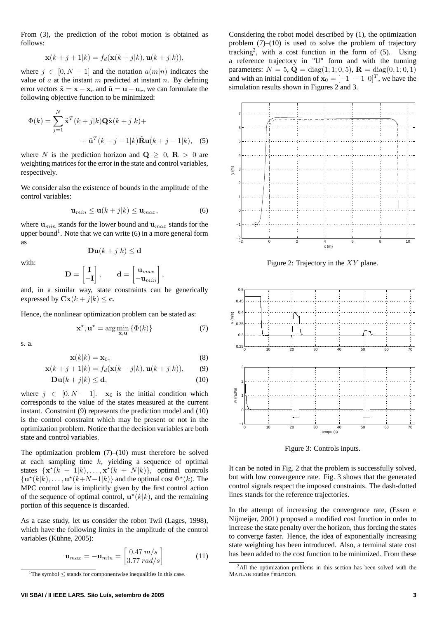From (3), the prediction of the robot motion is obtained as follows:

$$
\mathbf{x}(k+j+1|k) = f_d(\mathbf{x}(k+j|k), \mathbf{u}(k+j|k)),
$$

where  $j \in [0, N - 1]$  and the notation  $a(m|n)$  indicates the value of  $a$  at the instant  $m$  predicted at instant  $n$ . By defining error vectors  $\tilde{\mathbf{x}} = \mathbf{x} - \mathbf{x}_r$  and  $\tilde{\mathbf{u}} = \mathbf{u} - \mathbf{u}_r$ , we can formulate the following objective function to be minimized:

$$
\Phi(k) = \sum_{j=1}^{N} \tilde{\mathbf{x}}^{T} (k+j|k) \mathbf{Q} \tilde{\mathbf{x}} (k+j|k) +
$$

$$
+ \tilde{\mathbf{u}}^{T} (k+j-1|k) \tilde{\mathbf{R}} \mathbf{u} (k+j-1|k), \quad (5)
$$

where N is the prediction horizon and  $Q \geq 0$ ,  $R > 0$  are weighting matrices for the error in the state and control variables, respectively.

We consider also the existence of bounds in the amplitude of the control variables:

$$
\mathbf{u}_{min} \le \mathbf{u}(k+j|k) \le \mathbf{u}_{max},\tag{6}
$$

where  $\mathbf{u}_{min}$  stands for the lower bound and  $\mathbf{u}_{max}$  stands for the upper bound<sup>1</sup>. Note that we can write  $(6)$  in a more general form as

$$
\mathbf{Du}(k+j|k) \le \mathbf{d}
$$

with:

$$
\begin{bmatrix} 1 \end{bmatrix} \qquad \qquad \mathbf{d} = \begin{bmatrix} \mathbf{u}_{max} \end{bmatrix}
$$

$$
\mathbf{D} = \begin{bmatrix} \mathbf{I} \\ -\mathbf{I} \end{bmatrix}, \qquad \mathbf{d} = \begin{bmatrix} \mathbf{u}_{max} \\ -\mathbf{u}_{min} \end{bmatrix},
$$

and, in a similar way, state constraints can be generically expressed by  $\mathbf{Cx}(k+j|k) \leq \mathbf{c}$ .

Hence, the nonlinear optimization problem can be stated as:

$$
\mathbf{x}^{\star}, \mathbf{u}^{\star} = \arg\min_{\mathbf{x}, \mathbf{u}} \left\{ \Phi(k) \right\} \tag{7}
$$

s. a.

$$
\mathbf{x}(k|k) = \mathbf{x}_0,\tag{8}
$$

$$
\mathbf{x}(k+j+1|k) = f_d(\mathbf{x}(k+j|k), \mathbf{u}(k+j|k)), \qquad (9)
$$

$$
\mathbf{D}\mathbf{u}(k+j|k) \le \mathbf{d},\tag{10}
$$

where  $j \in [0, N - 1]$ .  $\mathbf{x}_0$  is the initial condition which corresponds to the value of the states measured at the current instant. Constraint (9) represents the prediction model and (10) is the control constraint which may be present or not in the optimization problem. Notice that the decision variables are both state and control variables.

The optimization problem  $(7)$ – $(10)$  must therefore be solved at each sampling time  $k$ , yielding a sequence of optimal states  $\{ \mathbf{x}^*(k+1|k), \ldots, \mathbf{x}^*(k+N|k) \}$ , optimal controls  $\{ {\bf u}^\star(k|k), \ldots, {\bf u}^\star(k+N-1|k) \}$  and the optimal cost  $\Phi^\star(k)$ . The MPC control law is implicitly given by the first control action of the sequence of optimal control,  $\mathbf{u}^*(k|k)$ , and the remaining portion of this sequence is discarded.

As a case study, let us consider the robot Twil (Lages, 1998), which have the following limits in the amplitude of the control variables (Kühne, 2005):

$$
\mathbf{u}_{max} = -\mathbf{u}_{min} = \begin{bmatrix} 0.47 \ m/s \\ 3.77 \ rad/s \end{bmatrix}
$$
 (11)

Considering the robot model described by (1), the optimization problem  $(7)$ – $(10)$  is used to solve the problem of trajectory tracking<sup>2</sup>, with a cost function in the form of  $(5)$ . Using a reference trajectory in "U" form and with the tunning parameters:  $N = 5$ ,  $\mathbf{Q} = \text{diag}(1; 1; 0, 5)$ ,  $\mathbf{R} = \text{diag}(0, 1; 0, 1)$ and with an initial condition of  $x_0 = \begin{bmatrix} -1 & -1 & 0 \end{bmatrix}^T$ , we have the simulation results shown in Figures 2 and 3.



Figure 2: Trajectory in the XY plane.



Figure 3: Controls inputs.

It can be noted in Fig. 2 that the problem is successfully solved, but with low convergence rate. Fig. 3 shows that the generated control signals respect the imposed constraints. The dash-dotted lines stands for the reference trajectories.

In the attempt of increasing the convergence rate, (Essen e Nijmeijer, 2001) proposed a modified cost function in order to increase the state penalty over the horizon, thus forcing the states to converge faster. Hence, the idea of exponentially increasing state weighting has been introduced. Also, a terminal state cost has been added to the cost function to be minimized. From these

<sup>&</sup>lt;sup>1</sup>The symbol  $\leq$  stands for componentwise inequalities in this case.

<sup>2</sup>All the optimization problems in this section has been solved with the MATLAB routine fmincon.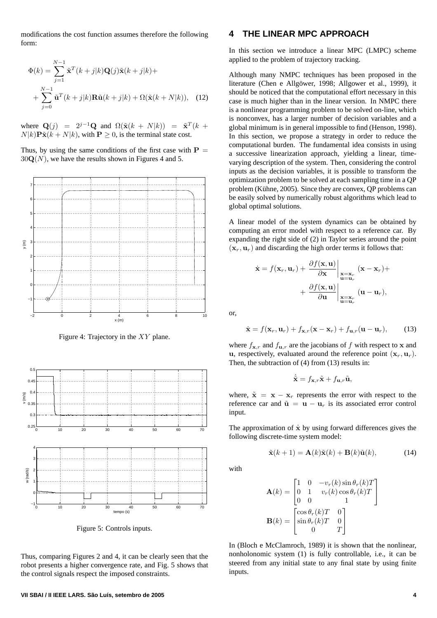modifications the cost function assumes therefore the following form:

$$
\Phi(k) = \sum_{j=1}^{N-1} \tilde{\mathbf{x}}^T(k+j|k)\mathbf{Q}(j)\tilde{\mathbf{x}}(k+j|k) +
$$
  
+ 
$$
\sum_{j=0}^{N-1} \tilde{\mathbf{u}}^T(k+j|k)\mathbf{R}\tilde{\mathbf{u}}(k+j|k) + \Omega(\tilde{\mathbf{x}}(k+N|k)), \quad (12)
$$

where  $\mathbf{Q}(j) = 2^{j-1}\mathbf{Q}$  and  $\Omega(\tilde{\mathbf{x}}(k+N|k)) = \tilde{\mathbf{x}}^T(k+1)$  $N|k\rangle P\tilde{\mathbf{x}}(k+N|k)$ , with  $\mathbf{P} > 0$ , is the terminal state cost.

Thus, by using the same conditions of the first case with  $P =$  $30Q(N)$ , we have the results shown in Figures 4 and 5.



Figure 4: Trajectory in the XY plane.



Figure 5: Controls inputs.

Thus, comparing Figures 2 and 4, it can be clearly seen that the robot presents a higher convergence rate, and Fig. 5 shows that the control signals respect the imposed constraints.

## **4 THE LINEAR MPC APPROACH**

In this section we introduce a linear MPC (LMPC) scheme applied to the problem of trajectory tracking.

Although many NMPC techniques has been proposed in the literature (Chen e Allgöwer, 1998; Allgower et al., 1999), it should be noticed that the computational effort necessary in this case is much higher than in the linear version. In NMPC there is a nonlinear programming problem to be solved on-line, which is nonconvex, has a larger number of decision variables and a global minimum is in general impossible to find (Henson, 1998). In this section, we propose a strategy in order to reduce the computational burden. The fundamental idea consists in using a successive linearization approach, yielding a linear, timevarying description of the system. Then, considering the control inputs as the decision variables, it is possible to transform the optimization problem to be solved at each sampling time in a QP problem (Kühne, 2005). Since they are convex, QP problems can be easily solved by numerically robust algorithms which lead to global optimal solutions.

A linear model of the system dynamics can be obtained by computing an error model with respect to a reference car. By expanding the right side of (2) in Taylor series around the point  $(\mathbf{x}_r, \mathbf{u}_r)$  and discarding the high order terms it follows that:

$$
\dot{\mathbf{x}} = f(\mathbf{x}_r, \mathbf{u}_r) + \frac{\partial f(\mathbf{x}, \mathbf{u})}{\partial \mathbf{x}} \Big|_{\substack{\mathbf{x} = \mathbf{x}_r \\ \mathbf{u} = \mathbf{u}_r}} (\mathbf{x} - \mathbf{x}_r) + \frac{\partial f(\mathbf{x}, \mathbf{u})}{\partial \mathbf{u}} \Big|_{\substack{\mathbf{x} = \mathbf{x}_r \\ \mathbf{u} = \mathbf{u}_r}} (\mathbf{u} - \mathbf{u}_r),
$$

or,

$$
\dot{\mathbf{x}} = f(\mathbf{x}_r, \mathbf{u}_r) + f_{\mathbf{x},r}(\mathbf{x} - \mathbf{x}_r) + f_{\mathbf{u},r}(\mathbf{u} - \mathbf{u}_r),
$$
 (13)

where  $f_{\mathbf{x},r}$  and  $f_{\mathbf{u},r}$  are the jacobians of f with respect to x and u, respectively, evaluated around the reference point  $(\mathbf{x}_r, \mathbf{u}_r)$ . Then, the subtraction of (4) from (13) results in:

$$
\dot{\tilde{\mathbf{x}}} = f_{\mathbf{x},r}\tilde{\mathbf{x}} + f_{\mathbf{u},r}\tilde{\mathbf{u}},
$$

where,  $\tilde{\mathbf{x}} = \mathbf{x} - \mathbf{x}_r$  represents the error with respect to the reference car and  $\tilde{\mathbf{u}} = \mathbf{u} - \mathbf{u}_r$  is its associated error control input.

The approximation of  $\dot{x}$  by using forward differences gives the following discrete-time system model:

$$
\tilde{\mathbf{x}}(k+1) = \mathbf{A}(k)\tilde{\mathbf{x}}(k) + \mathbf{B}(k)\tilde{\mathbf{u}}(k),
$$
 (14)

with

$$
\mathbf{A}(k) = \begin{bmatrix} 1 & 0 & -v_r(k)\sin\theta_r(k)T \\ 0 & 1 & v_r(k)\cos\theta_r(k)T \\ 0 & 0 & 1 \end{bmatrix}
$$

$$
\mathbf{B}(k) = \begin{bmatrix} \cos\theta_r(k)T & 0 \\ \sin\theta_r(k)T & 0 \\ 0 & T \end{bmatrix}
$$

In (Bloch e McClamroch, 1989) it is shown that the nonlinear, nonholonomic system (1) is fully controllable, i.e., it can be steered from any initial state to any final state by using finite inputs.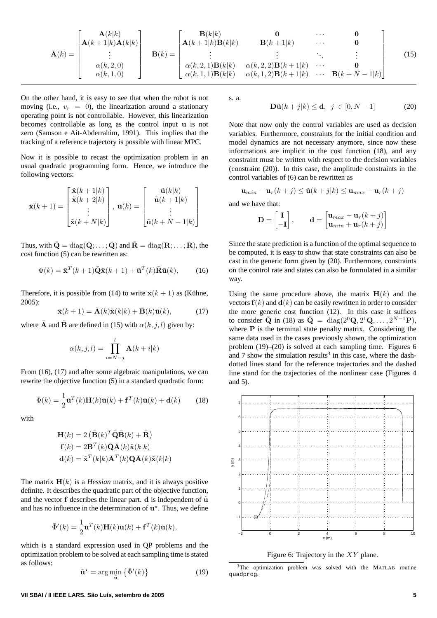$$
\bar{\mathbf{A}}(k) = \begin{bmatrix} \mathbf{A}(k|k) \\ \mathbf{A}(k+1|k)\mathbf{A}(k|k) \\ \vdots \\ \alpha(k,2,0) \\ \alpha(k,1,0) \end{bmatrix} \quad \bar{\mathbf{B}}(k) = \begin{bmatrix} \mathbf{B}(k|k) & \mathbf{0} & \cdots & \mathbf{0} \\ \mathbf{A}(k+1|k)\mathbf{B}(k|k) & \mathbf{B}(k+1|k) & \cdots & \mathbf{0} \\ \vdots & \vdots & \ddots & \vdots \\ \alpha(k,2,1)\mathbf{B}(k|k) & \alpha(k,2,2)\mathbf{B}(k+1|k) & \cdots & \mathbf{0} \\ \alpha(k,1,1)\mathbf{B}(k|k) & \alpha(k,1,2)\mathbf{B}(k+1|k) & \cdots & \mathbf{B}(k+N-1|k) \end{bmatrix} \tag{15}
$$

On the other hand, it is easy to see that when the robot is not moving (i.e.,  $v_r = 0$ ), the linearization around a stationary operating point is not controllable. However, this linearization becomes controllable as long as the control input u is not zero (Samson e Ait-Abderrahim, 1991). This implies that the tracking of a reference trajectory is possible with linear MPC.

Now it is possible to recast the optimization problem in an usual quadratic programming form. Hence, we introduce the following vectors:

$$
\bar{\mathbf{x}}(k+1) = \begin{bmatrix} \tilde{\mathbf{x}}(k+1|k) \\ \tilde{\mathbf{x}}(k+2|k) \\ \vdots \\ \tilde{\mathbf{x}}(k+N|k) \end{bmatrix}, \ \bar{\mathbf{u}}(k) = \begin{bmatrix} \tilde{\mathbf{u}}(k|k) \\ \tilde{\mathbf{u}}(k+1|k) \\ \vdots \\ \tilde{\mathbf{u}}(k+N-1|k) \end{bmatrix}
$$

Thus, with  $\bar{Q} = \text{diag}(Q; \dots; Q)$  and  $\bar{R} = \text{diag}(R; \dots; R)$ , the cost function (5) can be rewritten as:

$$
\Phi(k) = \bar{\mathbf{x}}^T(k+1)\bar{\mathbf{Q}}\bar{\mathbf{x}}(k+1) + \bar{\mathbf{u}}^T(k)\bar{\mathbf{R}}\bar{\mathbf{u}}(k),\qquad(16)
$$

Therefore, it is possible from (14) to write  $\bar{\mathbf{x}}(k+1)$  as (Kühne, 2005):

$$
\bar{\mathbf{x}}(k+1) = \bar{\mathbf{A}}(k)\tilde{\mathbf{x}}(k|k) + \bar{\mathbf{B}}(k)\bar{\mathbf{u}}(k),
$$
 (17)

where  $\bar{\mathbf{A}}$  and  $\bar{\mathbf{B}}$  are defined in (15) with  $\alpha(k, j, l)$  given by:

$$
\alpha(k,j,l) = \prod_{i=N-j}^{l} \mathbf{A}(k+i|k)
$$

From (16), (17) and after some algebraic manipulations, we can rewrite the objective function (5) in a standard quadratic form:

$$
\bar{\Phi}(k) = \frac{1}{2}\bar{\mathbf{u}}^{T}(k)\mathbf{H}(k)\bar{\mathbf{u}}(k) + \mathbf{f}^{T}(k)\bar{\mathbf{u}}(k) + \mathbf{d}(k)
$$
 (18)

with

$$
\mathbf{H}(k) = 2 (\bar{\mathbf{B}}(k)^T \bar{\mathbf{Q}} \bar{\mathbf{B}}(k) + \bar{\mathbf{R}})
$$
  
\n
$$
\mathbf{f}(k) = 2\bar{\mathbf{B}}^T(k)\bar{\mathbf{Q}}\bar{\mathbf{A}}(k)\tilde{\mathbf{x}}(k|k)
$$
  
\n
$$
\mathbf{d}(k) = \tilde{\mathbf{x}}^T(k|k)\bar{\mathbf{A}}^T(k)\bar{\mathbf{Q}}\bar{\mathbf{A}}(k)\tilde{\mathbf{x}}(k|k)
$$

The matrix  $H(k)$  is a *Hessian* matrix, and it is always positive definite. It describes the quadratic part of the objective function, and the vector  $f$  describes the linear part. d is independent of  $\tilde{u}$ and has no influence in the determination of  $\mathbf{u}^*$ . Thus, we define

$$
\bar{\Phi}'(k) = \frac{1}{2}\bar{\mathbf{u}}^{T}(k)\mathbf{H}(k)\bar{\mathbf{u}}(k) + \mathbf{f}^{T}(k)\bar{\mathbf{u}}(k),
$$

which is a standard expression used in QP problems and the optimization problem to be solved at each sampling time is stated as follows:

$$
\tilde{\mathbf{u}}^{\star} = \arg\min_{\tilde{\mathbf{u}}} \left\{ \bar{\Phi}'(k) \right\} \tag{19}
$$

$$
\mathbf{D}\tilde{\mathbf{u}}(k+j|k) \le \mathbf{d}, \ \ j \ \in [0, N-1] \tag{20}
$$

Note that now only the control variables are used as decision variables. Furthermore, constraints for the initial condition and model dynamics are not necessary anymore, since now these informations are implicit in the cost function (18), and any constraint must be written with respect to the decision variables (constraint (20)). In this case, the amplitude constraints in the control variables of (6) can be rewritten as

$$
\mathbf{u}_{min} - \mathbf{u}_r(k+j) \leq \tilde{\mathbf{u}}(k+j|k) \leq \mathbf{u}_{max} - \mathbf{u}_r(k+j)
$$

and we have that:

$$
\mathbf{D} = \begin{bmatrix} \mathbf{I} \\ -\mathbf{I} \end{bmatrix}, \qquad \mathbf{d} = \begin{bmatrix} \mathbf{u}_{max} - \mathbf{u}_r(k+j) \\ \mathbf{u}_{min} + \mathbf{u}_r(k+j) \end{bmatrix}
$$

Since the state prediction is a function of the optimal sequence to be computed, it is easy to show that state constraints can also be cast in the generic form given by (20). Furthermore, constraints on the control rate and states can also be formulated in a similar way.

Using the same procedure above, the matrix  $H(k)$  and the vectors  $f(k)$  and  $d(k)$  can be easily rewritten in order to consider the more generic cost function (12). In this case it suffices to consider  $\bar{\mathbf{Q}}$  in (18) as  $\bar{\mathbf{Q}} = \text{diag}(2^0\mathbf{Q}, 2^1\mathbf{Q}, \dots, 2^{N-1}\mathbf{P}),$ where **P** is the terminal state penalty matrix. Considering the same data used in the cases previously shown, the optimization problem (19)–(20) is solved at each sampling time. Figures 6 and  $7$  show the simulation results<sup>3</sup> in this case, where the dashdotted lines stand for the reference trajectories and the dashed line stand for the trajectories of the nonlinear case (Figures 4 and 5).



Figure 6: Trajectory in the  $XY$  plane.

<sup>3</sup>The optimization problem was solved with the MATLAB routine quadprog.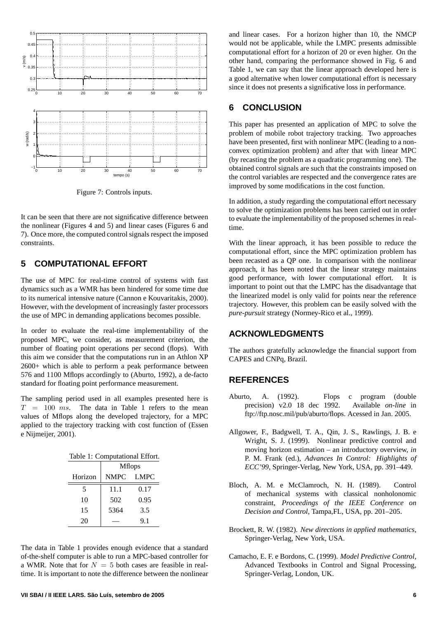

Figure 7: Controls inputs.

It can be seen that there are not significative difference between the nonlinear (Figures 4 and 5) and linear cases (Figures 6 and 7). Once more, the computed control signals respect the imposed constraints.

## **5 COMPUTATIONAL EFFORT**

The use of MPC for real-time control of systems with fast dynamics such as a WMR has been hindered for some time due to its numerical intensive nature (Cannon e Kouvaritakis, 2000). However, with the development of increasingly faster processors the use of MPC in demanding applications becomes possible.

In order to evaluate the real-time implementability of the proposed MPC, we consider, as measurement criterion, the number of floating point operations per second (flops). With this aim we consider that the computations run in an Athlon XP 2600+ which is able to perform a peak performance between 576 and 1100 Mflops accordingly to (Aburto, 1992), a de-facto standard for floating point performance measurement.

The sampling period used in all examples presented here is  $T = 100$  ms. The data in Table 1 refers to the mean values of Mflops along the developed trajectory, for a MPC applied to the trajectory tracking with cost function of (Essen e Nijmeijer, 2001).

| Table 1: Computational Effort. |                |             |
|--------------------------------|----------------|-------------|
|                                | <b>M</b> flops |             |
| Horizon                        | <b>NMPC</b>    | <b>LMPC</b> |
| 5                              | 11.1           | 0.17        |
| 10                             | 502            | 0.95        |
| 15                             | 5364           | 3.5         |
| 20                             |                | 9.1         |

The data in Table 1 provides enough evidence that a standard of-the-shelf computer is able to run a MPC-based controller for a WMR. Note that for  $N = 5$  both cases are feasible in realtime. It is important to note the difference between the nonlinear

and linear cases. For a horizon higher than 10, the NMCP would not be applicable, while the LMPC presents admissible computational effort for a horizon of 20 or even higher. On the other hand, comparing the performance showed in Fig. 6 and Table 1, we can say that the linear approach developed here is a good alternative when lower computational effort is necessary since it does not presents a significative loss in performance.

#### **6 CONCLUSION**

This paper has presented an application of MPC to solve the problem of mobile robot trajectory tracking. Two approaches have been presented, first with nonlinear MPC (leading to a nonconvex optimization problem) and after that with linear MPC (by recasting the problem as a quadratic programming one). The obtained control signals are such that the constraints imposed on the control variables are respected and the convergence rates are improved by some modifications in the cost function.

In addition, a study regarding the computational effort necessary to solve the optimization problems has been carried out in order to evaluate the implementability of the proposed schemes in realtime.

With the linear approach, it has been possible to reduce the computational effort, since the MPC optimization problem has been recasted as a QP one. In comparison with the nonlinear approach, it has been noted that the linear strategy maintains good performance, with lower computational effort. It is important to point out that the LMPC has the disadvantage that the linearized model is only valid for points near the reference trajectory. However, this problem can be easily solved with the *pure-pursuit* strategy (Normey-Rico et al., 1999).

## **ACKNOWLEDGMENTS**

The authors gratefully acknowledge the financial support from CAPES and CNPq, Brazil.

#### **REFERENCES**

- Aburto, A. (1992). Flops c program (double precision) v2.0 18 dec 1992. Available *on-line* in ftp://ftp.nosc.mil/pub/aburto/flops. Acessed in Jan. 2005.
- Allgower, F., Badgwell, T. A., Qin, J. S., Rawlings, J. B. e Wright, S. J. (1999). Nonlinear predictive control and moving horizon estimation – an introductory overview, *in* P. M. Frank (ed.), *Advances In Control: Highlights of ECC'99*, Springer-Verlag, New York, USA, pp. 391–449.
- Bloch, A. M. e McClamroch, N. H. (1989). Control of mechanical systems with classical nonholonomic constraint, *Proceedings of the IEEE Conference on Decision and Control*, Tampa,FL, USA, pp. 201–205.
- Brockett, R. W. (1982). *New directions in applied mathematics*, Springer-Verlag, New York, USA.
- Camacho, E. F. e Bordons, C. (1999). *Model Predictive Control*, Advanced Textbooks in Control and Signal Processing, Springer-Verlag, London, UK.